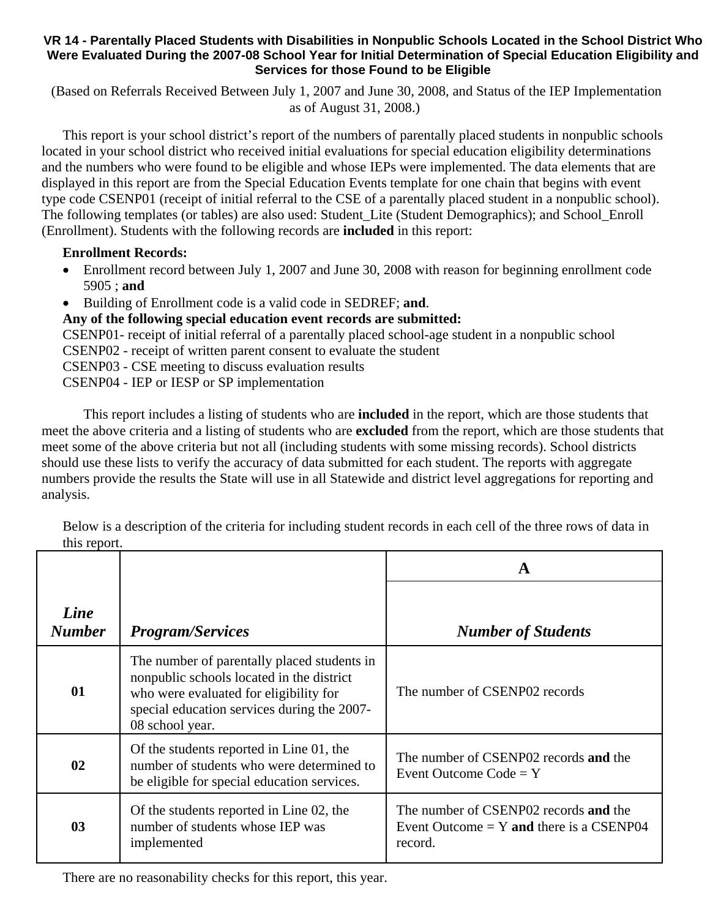## **VR 14 - Parentally Placed Students with Disabilities in Nonpublic Schools Located in the School District Who Were Evaluated During the 2007-08 School Year for Initial Determination of Special Education Eligibility and Services for those Found to be Eligible**

 (Based on Referrals Received Between July 1, 2007 and June 30, 2008, and Status of the IEP Implementation as of August 31, 2008.)

This report is your school district's report of the numbers of parentally placed students in nonpublic schools located in your school district who received initial evaluations for special education eligibility determinations and the numbers who were found to be eligible and whose IEPs were implemented. The data elements that are displayed in this report are from the Special Education Events template for one chain that begins with event type code CSENP01 (receipt of initial referral to the CSE of a parentally placed student in a nonpublic school). The following templates (or tables) are also used: Student\_Lite (Student Demographics); and School\_Enroll (Enrollment). Students with the following records are **included** in this report:

## **Enrollment Records:**

- Enrollment record between July 1, 2007 and June 30, 2008 with reason for beginning enrollment code 5905 ; **and**
- Building of Enrollment code is a valid code in SEDREF; **and**.

**Any of the following special education event records are submitted:** 

CSENP01- receipt of initial referral of a parentally placed school-age student in a nonpublic school CSENP02 - receipt of written parent consent to evaluate the student CSENP03 - CSE meeting to discuss evaluation results CSENP04 - IEP or IESP or SP implementation

 This report includes a listing of students who are **included** in the report, which are those students that meet the above criteria and a listing of students who are **excluded** from the report, which are those students that meet some of the above criteria but not all (including students with some missing records). School districts should use these lists to verify the accuracy of data submitted for each student. The reports with aggregate numbers provide the results the State will use in all Statewide and district level aggregations for reporting and analysis.

Below is a description of the criteria for including student records in each cell of the three rows of data in this report.

|                       |                                                                                                                                                                                                      | A                                                                                              |  |
|-----------------------|------------------------------------------------------------------------------------------------------------------------------------------------------------------------------------------------------|------------------------------------------------------------------------------------------------|--|
| Line<br><b>Number</b> | <b>Program/Services</b>                                                                                                                                                                              | <b>Number of Students</b>                                                                      |  |
| 01                    | The number of parentally placed students in<br>nonpublic schools located in the district<br>who were evaluated for eligibility for<br>special education services during the 2007-<br>08 school year. | The number of CSENP02 records                                                                  |  |
| 02                    | Of the students reported in Line 01, the<br>number of students who were determined to<br>be eligible for special education services.                                                                 | The number of CSENP02 records and the<br>Event Outcome $Code = Y$                              |  |
| 0 <sub>3</sub>        | Of the students reported in Line 02, the<br>number of students whose IEP was<br>implemented                                                                                                          | The number of CSENP02 records and the<br>Event Outcome = $Y$ and there is a CSENP04<br>record. |  |

There are no reasonability checks for this report, this year.